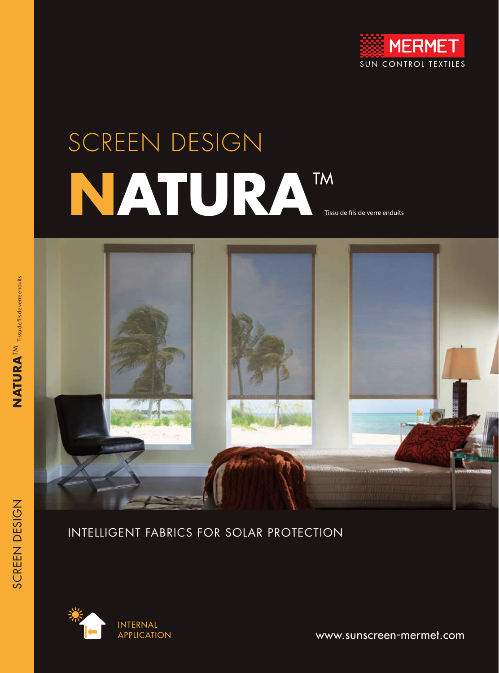

# SCREEN DESIGN **NATURA**TM

Tissu de fils de verre enduits



## INTELLIGENT FABRICS FOR SOLAR PROTECTION



www.sunscreen-mermet.com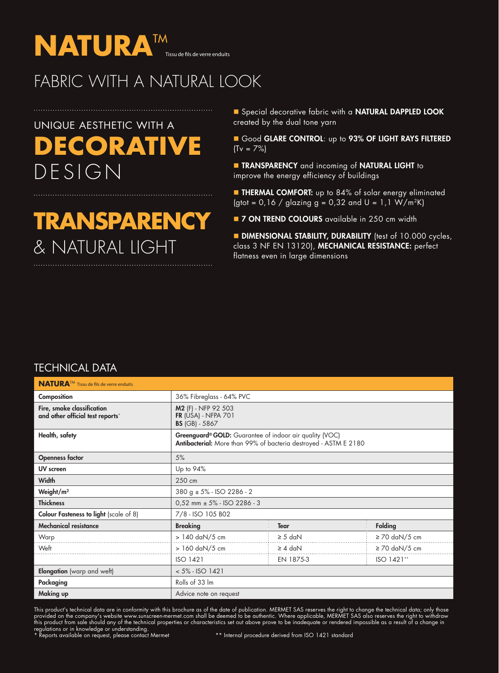

## FABRIC WITH A NATURAL LOOK

## UNIQUE AESTHETIC WITH A **DECORATIVE** DESIGN

# **TRANSPARENCY**  & NATURAL LIGHT

Special decorative fabric with a NATURAL DAPPLED LOOK created by the dual tone yarn

Good GLARE CONTROL: up to 93% OF LIGHT RAYS FILTERED  $(Tv = 7%)$ 

**n** TRANSPARENCY and incoming of NATURAL LIGHT to improve the energy efficiency of buildings

**EXTERMAL COMFORT:** up to 84% of solar energy eliminated (gtot =  $0.16$  / glazing g =  $0.32$  and U =  $1.1$  W/m<sup>2</sup>K)

**T 7 ON TREND COLOURS** available in 250 cm width

**DIMENSIONAL STABILITY, DURABILITY** (test of 10.000 cycles, class 3 NF EN 13120), MECHANICAL RESISTANCE: perfect flatness even in large dimensions

#### TECHNICAL DATA

| <b>NATURA</b> <sup>™</sup> Tissu de fils de verre enduits      |                                                                                                                             |              |                    |  |  |  |
|----------------------------------------------------------------|-----------------------------------------------------------------------------------------------------------------------------|--------------|--------------------|--|--|--|
| Composition                                                    | 36% Fibreglass - 64% PVC                                                                                                    |              |                    |  |  |  |
| Fire, smoke classification<br>and other official test reports* | M2 (F) - NFP 92 503<br><b>FR (USA) - NFPA 701</b><br><b>BS</b> (GB) - 5867                                                  |              |                    |  |  |  |
| Health, safety                                                 | Greenguard® GOLD: Guarantee of indoor air quality (VOC)<br>Antibacterial: More than 99% of bacteria destroyed - ASTM E 2180 |              |                    |  |  |  |
| <b>Openness factor</b>                                         | 5%                                                                                                                          |              |                    |  |  |  |
| UV screen                                                      | Up to 94%                                                                                                                   |              |                    |  |  |  |
| <b>Width</b>                                                   | 250 cm                                                                                                                      |              |                    |  |  |  |
| Weight/m <sup>2</sup>                                          | $380 g \pm 5\%$ - ISO 2286 - 2                                                                                              |              |                    |  |  |  |
| <b>Thickness</b>                                               | $0,52$ mm $\pm$ 5% - ISO 2286 - 3                                                                                           |              |                    |  |  |  |
| Colour Fasteness to light (scale of 8)                         | 7/8 - ISO 105 B02                                                                                                           |              |                    |  |  |  |
| <b>Mechanical resistance</b>                                   | <b>Breaking</b>                                                                                                             | <b>Tear</b>  | Folding            |  |  |  |
| Warp                                                           | > 140 daN/5 cm                                                                                                              | $\geq$ 5 daN | $\geq$ 70 daN/5 cm |  |  |  |
| Weft                                                           | $> 160$ daN/5 cm                                                                                                            | $\geq 4$ daN | $\geq$ 70 daN/5 cm |  |  |  |
|                                                                | <b>ISO 1421</b>                                                                                                             | EN 1875-3    | ISO 1421**         |  |  |  |
| <b>Elongation</b> (warp and weft)                              | $< 5\% - ISO 1421$                                                                                                          |              |                    |  |  |  |
| Packaging                                                      | Rolls of 33 Im                                                                                                              |              |                    |  |  |  |
| Making up                                                      | Advice note on request                                                                                                      |              |                    |  |  |  |

This product's technical data are in conformity with this brochure as of the date of publication. MERMET SAS reserves the right to change the technical data; only those provided on the company's website www.sunscreen-mermet.com shall be deemed to be authentic. Where applicable, MERMET SAS also reserves the right to withdraw this product from sale should any of the technical properties or characteristics set out above prove to be inadequate or rendered impossible as a result of a change in regulations or in knowledge or understanding.<br>\* Reports available on request, please contact Mermet \*\* hternal procedure derived from ISO 1421 standard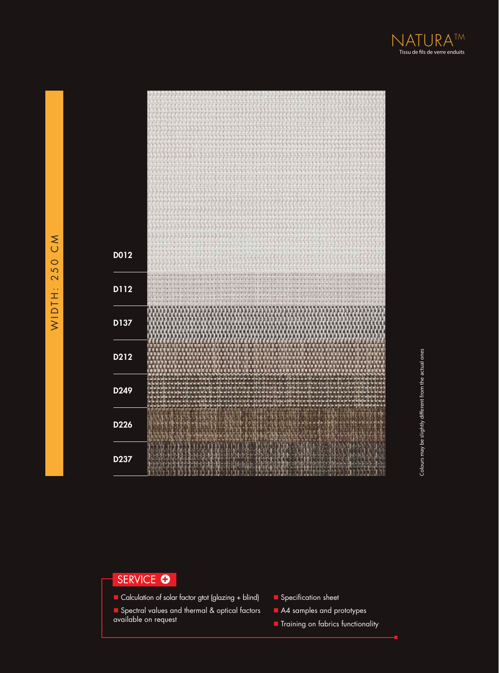

## SERVICE O

- Calculation of solar factor gtot (glazing + blind)
- Spectral values and thermal & optical factors available on request
- **n** Specification sheet
- A4 samples and prototypes
- **n** Training on fabrics functionality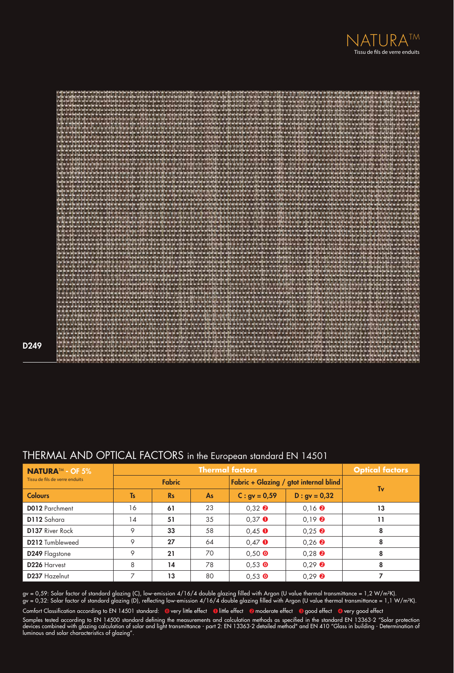



D249

### THERMAL AND OPTICAL FACTORS in the European standard EN 14501

| <b>NATURA™ - OF 5%</b><br>Tissu de fils de verre enduits | <b>Thermal factors</b> |           |                                        |                                  |                                      | <b>Optical factors</b> |
|----------------------------------------------------------|------------------------|-----------|----------------------------------------|----------------------------------|--------------------------------------|------------------------|
|                                                          | <b>Fabric</b>          |           | Fabric + Glazing / gtot internal blind |                                  |                                      |                        |
| <b>Colours</b>                                           | <b>Ts</b>              | <b>Rs</b> | As                                     | $C: gy = 0.59$                   | $D : gv = 0,32$                      | Tv                     |
| <b>D012</b> Parchment                                    | 16                     | 61        | 23                                     | $0.32$ <b><math>\odot</math></b> | $0,16$ <b><math>\odot</math></b>     | 13                     |
| D112 Sahara                                              | 14                     | 51        | 35                                     | $0.37$ O                         | $0.19$ <b><math>\odot</math></b>     | 11                     |
| <b>D137 River Rock</b>                                   | 9                      | 33        | 58                                     | $0.45$ $\bullet$                 | $0.25$ <b><math>\odot</math></b>     | 8                      |
| <b>D212</b> Tumbleweed                                   | 9                      | 27        | 64                                     | $0,47$ $\bullet$                 | $0,26$ <sup><math>\odot</math></sup> | 8                      |
| D249 Flagstone                                           | 9                      | 21        | 70                                     | $0,50$ O                         | $0.28$ <b><math>\odot</math></b>     | 8                      |
| D <sub>226</sub> Harvest                                 | 8                      | 14        | 78                                     | $0.53$ O                         | $0,29$ <b><math>\odot</math></b>     | 8                      |
| D237 Hazelnut                                            | ⇁                      | 13        | 80                                     | $0.53$ O                         | $0.29$ <b><math>\Theta</math></b>    |                        |

gv = 0,59: Solar factor of standard glazing (C), low-emission 4/16/4 double glazing filled with Argon (U value thermal transmittance = 1,2 W/m²K). gv = 0,32: Solar factor of standard glazing (D), reflecting low-emission 4/16/4 double glazing filled with Argon (U value thermal transmittance = 1,1 W/m²K). Comfort Classification according to EN 14501 standard: @very little effect @little effect @moderate effect @good effect @very good effect

Samples tested according to EN 14500 standard defining the measurements and calculation methods as specified in the standard EN 13363-2 "Solar protection devices combined with glazing calculation of solar and light transmittance - part 2: EN 13363-2 detailed method" and EN 410 "Glass in building - Determination of luminous and solar characteristics of glazing".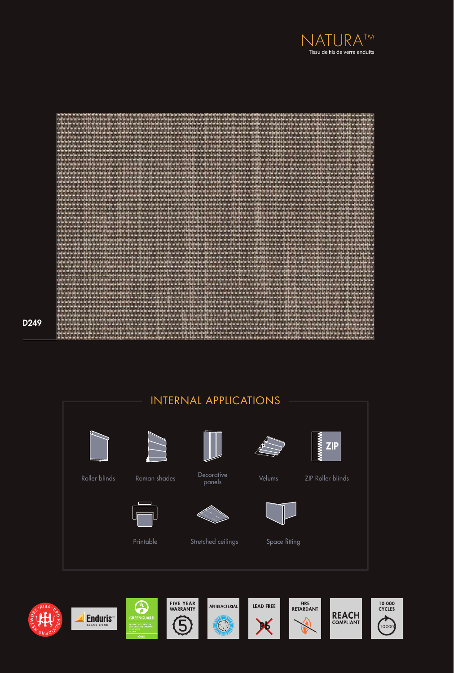



D249